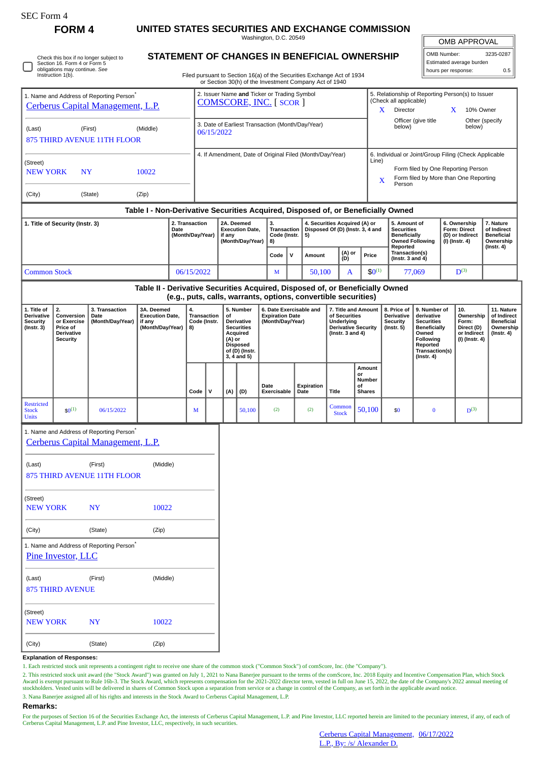| rorm |
|------|
|------|

П

**FORM 4 UNITED STATES SECURITIES AND EXCHANGE COMMISSION**

Washington, D.C. 20549

OMB APPROVAL

| OMB Number:<br>3235-0287 |     |  |  |  |  |  |  |  |  |  |
|--------------------------|-----|--|--|--|--|--|--|--|--|--|
| Estimated average burden |     |  |  |  |  |  |  |  |  |  |
| hours per response:      | 0.5 |  |  |  |  |  |  |  |  |  |

Check this box if no longer subject to Section 16. Form 4 or Form 5 obligations may continue. *See* Instruction 1(b).

## **STATEMENT OF CHANGES IN BENEFICIAL OWNERSHIP**

Filed pursuant to Section 16(a) of the Securities Exchange Act of 1934 or Section 30(h) of the Investment Company Act of 1940

| 1. Name and Address of Reporting Person <sup>*</sup><br>Cerberus Capital Management, L.P.                                                                         |                                                                                                                                                                                                              |                                                                                           |                                                                               |                                                                                                                                                                           | or Section 30(n) of the investment Company Act of 1940<br>2. Issuer Name and Ticker or Trading Symbol<br><b>COMSCORE, INC. [ SCOR ]</b> |                                                                    |                                                                       |          |                                                                                                        |                                                                                                           |                           |                                                                         |                                                                                                                                                | 5. Relationship of Reporting Person(s) to Issuer<br>(Check all applicable)<br>Director<br>X |                                                                                                                                                              | X                                                                               | 10% Owner                |                                                            |                  |  |
|-------------------------------------------------------------------------------------------------------------------------------------------------------------------|--------------------------------------------------------------------------------------------------------------------------------------------------------------------------------------------------------------|-------------------------------------------------------------------------------------------|-------------------------------------------------------------------------------|---------------------------------------------------------------------------------------------------------------------------------------------------------------------------|-----------------------------------------------------------------------------------------------------------------------------------------|--------------------------------------------------------------------|-----------------------------------------------------------------------|----------|--------------------------------------------------------------------------------------------------------|-----------------------------------------------------------------------------------------------------------|---------------------------|-------------------------------------------------------------------------|------------------------------------------------------------------------------------------------------------------------------------------------|---------------------------------------------------------------------------------------------|--------------------------------------------------------------------------------------------------------------------------------------------------------------|---------------------------------------------------------------------------------|--------------------------|------------------------------------------------------------|------------------|--|
| (First)<br>(Middle)<br>(Last)<br><b>875 THIRD AVENUE 11TH FLOOR</b>                                                                                               |                                                                                                                                                                                                              |                                                                                           |                                                                               |                                                                                                                                                                           | 3. Date of Earliest Transaction (Month/Day/Year)<br>06/15/2022                                                                          |                                                                    |                                                                       |          |                                                                                                        |                                                                                                           |                           |                                                                         |                                                                                                                                                | below)                                                                                      | Officer (give title                                                                                                                                          |                                                                                 | Other (specify<br>below) |                                                            |                  |  |
| (Street)<br>10022<br><b>NEW YORK</b><br><b>NY</b><br>(City)<br>(State)<br>(Zip)                                                                                   |                                                                                                                                                                                                              |                                                                                           |                                                                               |                                                                                                                                                                           |                                                                                                                                         | 4. If Amendment, Date of Original Filed (Month/Day/Year)           |                                                                       |          |                                                                                                        |                                                                                                           |                           |                                                                         |                                                                                                                                                |                                                                                             | 6. Individual or Joint/Group Filing (Check Applicable<br>Line)<br>Form filed by One Reporting Person<br>Form filed by More than One Reporting<br>X<br>Person |                                                                                 |                          |                                                            |                  |  |
| Table I - Non-Derivative Securities Acquired, Disposed of, or Beneficially Owned<br>2. Transaction<br>1. Title of Security (Instr. 3)<br>Date<br>(Month/Day/Year) |                                                                                                                                                                                                              |                                                                                           |                                                                               |                                                                                                                                                                           |                                                                                                                                         | 2A. Deemed<br><b>Execution Date,</b><br>if any<br>(Month/Day/Year) |                                                                       | 3.<br>8) | 4. Securities Acquired (A) or<br>Disposed Of (D) (Instr. 3, 4 and<br>Transaction<br>Code (Instr.<br>5) |                                                                                                           |                           |                                                                         |                                                                                                                                                | 5. Amount of<br><b>Securities</b><br><b>Beneficially</b>                                    | <b>Owned Following</b>                                                                                                                                       | 6. Ownership<br><b>Form: Direct</b><br>(D) or Indirect<br>(I) (Instr. 4)        |                          | 7. Nature<br>of Indirect<br><b>Beneficial</b><br>Ownership |                  |  |
|                                                                                                                                                                   |                                                                                                                                                                                                              |                                                                                           |                                                                               |                                                                                                                                                                           |                                                                                                                                         |                                                                    |                                                                       |          |                                                                                                        | $\mathsf{v}$                                                                                              | Amount                    |                                                                         | (A) or<br>Price<br>(D)                                                                                                                         |                                                                                             | Reported                                                                                                                                                     | Transaction(s)<br>(Instr. 3 and $4$ )                                           |                          |                                                            | $($ Instr. 4 $)$ |  |
|                                                                                                                                                                   | <b>Common Stock</b>                                                                                                                                                                                          |                                                                                           |                                                                               |                                                                                                                                                                           | 06/15/2022                                                                                                                              |                                                                    |                                                                       |          | M                                                                                                      |                                                                                                           | 50.100                    | A                                                                       |                                                                                                                                                | $$0^{(1)}$$                                                                                 |                                                                                                                                                              | 77,069                                                                          | $D^{(3)}$                |                                                            |                  |  |
|                                                                                                                                                                   |                                                                                                                                                                                                              |                                                                                           | Table II - Derivative Securities Acquired, Disposed of, or Beneficially Owned |                                                                                                                                                                           |                                                                                                                                         |                                                                    |                                                                       |          | (e.g., puts, calls, warrants, options, convertible securities)                                         |                                                                                                           |                           |                                                                         |                                                                                                                                                |                                                                                             |                                                                                                                                                              |                                                                                 |                          |                                                            |                  |  |
| 1. Title of<br><b>Derivative</b><br><b>Security</b><br>$($ Instr. 3 $)$                                                                                           | 2.<br>3. Transaction<br>3A. Deemed<br>4.<br>Conversion<br><b>Execution Date,</b><br>Date<br>or Exercise<br>(Month/Day/Year)<br>if any<br>(Month/Day/Year)<br>Price of<br>8)<br>Derivative<br><b>Security</b> |                                                                                           |                                                                               | 5. Number<br><b>Transaction</b><br><b>of</b><br>Code (Instr.<br>Derivative<br><b>Securities</b><br>Acquired<br>(A) or<br><b>Disposed</b><br>of (D) (Instr.<br>3, 4 and 5) |                                                                                                                                         |                                                                    | 6. Date Exercisable and<br><b>Expiration Date</b><br>(Month/Day/Year) |          |                                                                                                        | 7. Title and Amount<br>of Securities<br>Underlying<br><b>Derivative Security</b><br>(Instr. $3$ and $4$ ) |                           | 8. Price of<br><b>Derivative</b><br><b>Security</b><br>$($ Instr. 5 $)$ | 9. Number of<br>derivative<br><b>Securities</b><br><b>Beneficially</b><br>Owned<br>Following<br>Reported<br>Transaction(s)<br>$($ Instr. 4 $)$ |                                                                                             | 10.<br>Ownership<br>Form:<br>Direct (D)<br>or Indirect<br>(I) (Instr. 4)                                                                                     | 11. Nature<br>of Indirect<br><b>Beneficial</b><br>Ownership<br>$($ Instr. 4 $)$ |                          |                                                            |                  |  |
|                                                                                                                                                                   |                                                                                                                                                                                                              |                                                                                           |                                                                               |                                                                                                                                                                           | Code                                                                                                                                    | v                                                                  | (A)                                                                   | (D)      | Date<br>Exercisable                                                                                    |                                                                                                           | <b>Expiration</b><br>Date | <b>Title</b>                                                            | or<br>οf                                                                                                                                       | Amount<br>Number<br><b>Shares</b>                                                           |                                                                                                                                                              |                                                                                 |                          |                                                            |                  |  |
| <b>Restricted</b><br><b>Stock</b><br><b>Units</b>                                                                                                                 | $$0^{(1)}$$                                                                                                                                                                                                  | 06/15/2022                                                                                |                                                                               |                                                                                                                                                                           | М                                                                                                                                       |                                                                    |                                                                       | 50,100   | (2)                                                                                                    |                                                                                                           | (2)                       | Common<br><b>Stock</b>                                                  |                                                                                                                                                | 50,100                                                                                      | \$0                                                                                                                                                          | $\bf{0}$                                                                        |                          | $D^{(3)}$                                                  |                  |  |
|                                                                                                                                                                   |                                                                                                                                                                                                              | 1. Name and Address of Reporting Person <sup>®</sup><br>Cerberus Capital Management, L.P. |                                                                               |                                                                                                                                                                           |                                                                                                                                         |                                                                    |                                                                       |          |                                                                                                        |                                                                                                           |                           |                                                                         |                                                                                                                                                |                                                                                             |                                                                                                                                                              |                                                                                 |                          |                                                            |                  |  |
| (Last)                                                                                                                                                            |                                                                                                                                                                                                              | (First)<br><b>875 THIRD AVENUE 11TH FLOOR</b>                                             | (Middle)                                                                      |                                                                                                                                                                           |                                                                                                                                         |                                                                    |                                                                       |          |                                                                                                        |                                                                                                           |                           |                                                                         |                                                                                                                                                |                                                                                             |                                                                                                                                                              |                                                                                 |                          |                                                            |                  |  |
| (Street)<br><b>NEW YORK</b>                                                                                                                                       |                                                                                                                                                                                                              | <b>NY</b>                                                                                 | 10022                                                                         |                                                                                                                                                                           |                                                                                                                                         |                                                                    |                                                                       |          |                                                                                                        |                                                                                                           |                           |                                                                         |                                                                                                                                                |                                                                                             |                                                                                                                                                              |                                                                                 |                          |                                                            |                  |  |
| (City)                                                                                                                                                            |                                                                                                                                                                                                              | (State)                                                                                   | (Zip)                                                                         |                                                                                                                                                                           |                                                                                                                                         |                                                                    |                                                                       |          |                                                                                                        |                                                                                                           |                           |                                                                         |                                                                                                                                                |                                                                                             |                                                                                                                                                              |                                                                                 |                          |                                                            |                  |  |
|                                                                                                                                                                   | Pine Investor, LLC                                                                                                                                                                                           | 1. Name and Address of Reporting Person*                                                  |                                                                               |                                                                                                                                                                           |                                                                                                                                         |                                                                    |                                                                       |          |                                                                                                        |                                                                                                           |                           |                                                                         |                                                                                                                                                |                                                                                             |                                                                                                                                                              |                                                                                 |                          |                                                            |                  |  |
| (Middle)<br>(Last)<br>(First)<br><b>875 THIRD AVENUE</b>                                                                                                          |                                                                                                                                                                                                              |                                                                                           |                                                                               |                                                                                                                                                                           |                                                                                                                                         |                                                                    |                                                                       |          |                                                                                                        |                                                                                                           |                           |                                                                         |                                                                                                                                                |                                                                                             |                                                                                                                                                              |                                                                                 |                          |                                                            |                  |  |
| (Street)<br><b>NEW YORK</b><br><b>NY</b><br>10022                                                                                                                 |                                                                                                                                                                                                              |                                                                                           |                                                                               |                                                                                                                                                                           |                                                                                                                                         |                                                                    |                                                                       |          |                                                                                                        |                                                                                                           |                           |                                                                         |                                                                                                                                                |                                                                                             |                                                                                                                                                              |                                                                                 |                          |                                                            |                  |  |

**Explanation of Responses:**

(City) (State) (Zip)

1. Each restricted stock unit represents a contingent right to receive one share of the common stock ("Common Stock") of comScore, Inc. (the "Company").

2. This restricted stock unit award (the "Stock Award") was granted on July 1, 2021 to Nana Banerjee pursuant to the terms of the comScore, Inc. 2018 Equity and Incentive Compensation Plan, which Stock<br>Award is exempt purs

3. Nana Banerjee assigned all of his rights and interests in the Stock Award to Cerberus Capital Management, L.P.

## **Remarks:**

For the purposes of Section 16 of the Securities Exchange Act, the interests of Cerberus Capital Management, L.P. and Pine Investor, LLC reported herein are limited to the pecuniary interest, if any, of each of<br>Cerberus Ca